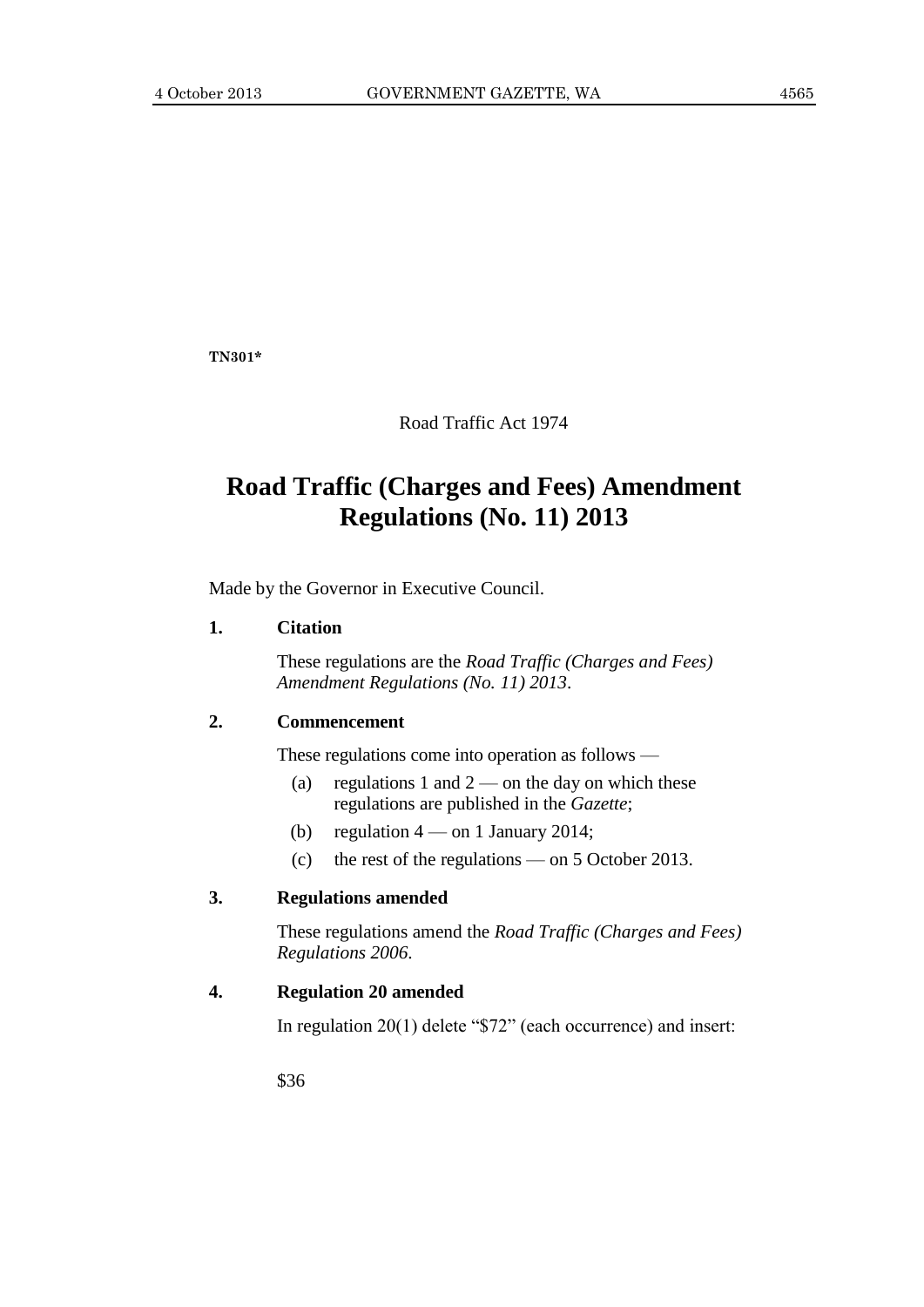**TN301\***

Road Traffic Act 1974

# **Road Traffic (Charges and Fees) Amendment Regulations (No. 11) 2013**

Made by the Governor in Executive Council.

#### **1. Citation**

These regulations are the *Road Traffic (Charges and Fees) Amendment Regulations (No. 11) 2013*.

#### **2. Commencement**

These regulations come into operation as follows —

- (a) regulations 1 and  $2$  on the day on which these regulations are published in the *Gazette*;
- (b) regulation  $4 \text{ on } 1$  January 2014;
- (c) the rest of the regulations on 5 October 2013.

#### **3. Regulations amended**

These regulations amend the *Road Traffic (Charges and Fees) Regulations 2006*.

### **4. Regulation 20 amended**

In regulation 20(1) delete "\$72" (each occurrence) and insert:

\$36